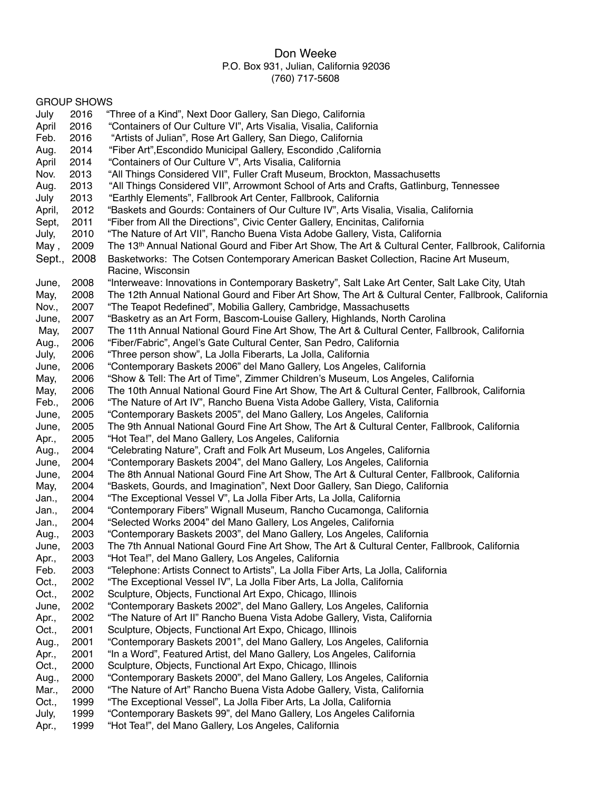### Don Weeke P.O. Box 931, Julian, California 92036 (760) 717-5608

#### April 2016 "Containers of Our Culture VI", Arts Visalia, Visalia, California Feb. 2016 "Artists of Julian", Rose Art Gallery, San Diego, California Aug. 2014 "Fiber Art",Escondido Municipal Gallery, Escondido ,California April 2014 "Containers of Our Culture V", Arts Visalia, California Nov. 2013 "All Things Considered VII", Fuller Craft Museum, Brockton, Massachusetts Aug. 2013 "All Things Considered VII", Arrowmont School of Arts and Crafts, Gatlinburg, Tennessee July 2013 "Earthly Elements", Fallbrook Art Center, Fallbrook, California April, 2012 "Baskets and Gourds: Containers of Our Culture IV", Arts Visalia, Visalia, California Sept, 2011 "Fiber from All the Directions", Civic Center Gallery, Encinitas, California July, 2010 "The Nature of Art VII", Rancho Buena Vista Adobe Gallery, Vista, California May, 2009 The 13<sup>th</sup> Annual National Gourd and Fiber Art Show, The Art & Cultural Center, Fallbrook, California Sept., 2008 Basketworks: The Cotsen Contemporary American Basket Collection, Racine Art Museum, Racine, Wisconsin June, 2008 "Interweave: Innovations in Contemporary Basketry", Salt Lake Art Center, Salt Lake City, Utah May, 2008 The 12th Annual National Gourd and Fiber Art Show, The Art & Cultural Center, Fallbrook, California Nov., 2007 "The Teapot Redefined", Mobilia Gallery, Cambridge, Massachusetts June, 2007 "Basketry as an Art Form, Bascom-Louise Gallery, Highlands, North Carolina

GROUP SHOWS

May, 2007 The 11th Annual National Gourd Fine Art Show, The Art & Cultural Center, Fallbrook, California

Aug., 2006 "Fiber/Fabric", Angel's Gate Cultural Center, San Pedro, California

July, 2006 "Three person show", La Jolla Fiberarts, La Jolla, California

July 2016 "Three of a Kind", Next Door Gallery, San Diego, California

June, 2006 "Contemporary Baskets 2006" del Mano Gallery, Los Angeles, California

May, 2006 "Show & Tell: The Art of Time", Zimmer Children's Museum, Los Angeles, California

May, 2006 The 10th Annual National Gourd Fine Art Show, The Art & Cultural Center, Fallbrook, California

Feb., 2006 "The Nature of Art IV", Rancho Buena Vista Adobe Gallery, Vista, California

June, 2005 "Contemporary Baskets 2005", del Mano Gallery, Los Angeles, California

June, 2005 The 9th Annual National Gourd Fine Art Show, The Art & Cultural Center, Fallbrook, California

- Apr., 2005 "Hot Tea!", del Mano Gallery, Los Angeles, California
- Aug., 2004 "Celebrating Nature", Craft and Folk Art Museum, Los Angeles, California
- June, 2004 "Contemporary Baskets 2004", del Mano Gallery, Los Angeles, California
- June, 2004 The 8th Annual National Gourd Fine Art Show, The Art & Cultural Center, Fallbrook, California
- May, 2004 "Baskets, Gourds, and Imagination", Next Door Gallery, San Diego, California
- Jan., 2004 "The Exceptional Vessel V", La Jolla Fiber Arts, La Jolla, California
- Jan., 2004 "Contemporary Fibers" Wignall Museum, Rancho Cucamonga, California
- Jan., 2004 "Selected Works 2004" del Mano Gallery, Los Angeles, California
- Aug., 2003 "Contemporary Baskets 2003", del Mano Gallery, Los Angeles, California
- June, 2003 The 7th Annual National Gourd Fine Art Show, The Art & Cultural Center, Fallbrook, California
- Apr., 2003 "Hot Tea!", del Mano Gallery, Los Angeles, California
- Feb. 2003 "Telephone: Artists Connect to Artists", La Jolla Fiber Arts, La Jolla, California
- Oct., 2002 "The Exceptional Vessel IV", La Jolla Fiber Arts, La Jolla, California
- Oct., 2002 Sculpture, Objects, Functional Art Expo, Chicago, Illinois
- June, 2002 "Contemporary Baskets 2002", del Mano Gallery, Los Angeles, California
- Apr., 2002 "The Nature of Art II" Rancho Buena Vista Adobe Gallery, Vista, California
- Oct., 2001 Sculpture, Objects, Functional Art Expo, Chicago, Illinois
- Aug., 2001 "Contemporary Baskets 2001", del Mano Gallery, Los Angeles, California
- Apr., 2001 "In a Word", Featured Artist, del Mano Gallery, Los Angeles, California
- Oct., 2000 Sculpture, Objects, Functional Art Expo, Chicago, Illinois
- Aug., 2000 "Contemporary Baskets 2000", del Mano Gallery, Los Angeles, California
- Mar., 2000 "The Nature of Art" Rancho Buena Vista Adobe Gallery, Vista, California
- Oct., 1999 "The Exceptional Vessel", La Jolla Fiber Arts, La Jolla, California
- July, 1999 "Contemporary Baskets 99", del Mano Gallery, Los Angeles California
- Apr., 1999 "Hot Tea!", del Mano Gallery, Los Angeles, California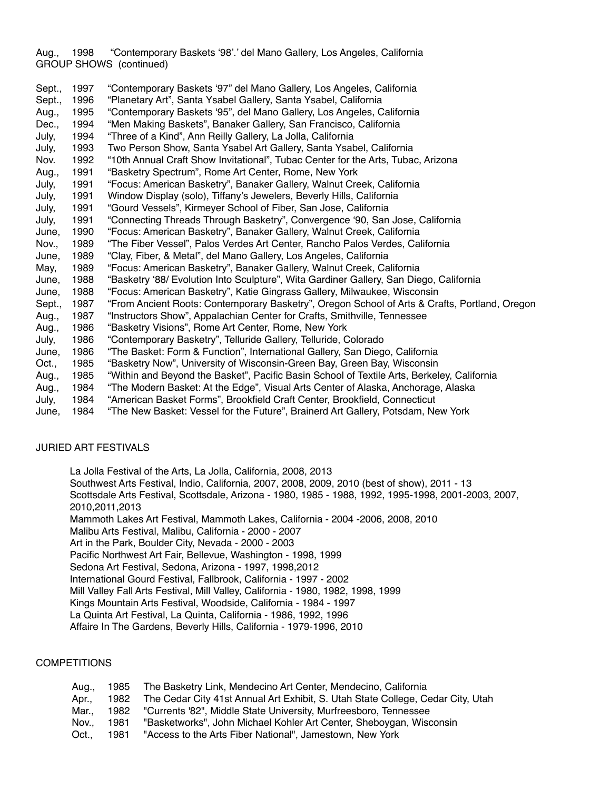Aug., 1998 "Contemporary Baskets '98'.' del Mano Gallery, Los Angeles, California GROUP SHOWS (continued)

Sept., 1997 "Contemporary Baskets '97" del Mano Gallery, Los Angeles, California Sept., 1996 "Planetary Art", Santa Ysabel Gallery, Santa Ysabel, California Aug., 1995 "Contemporary Baskets '95", del Mano Gallery, Los Angeles, California Dec., 1994 "Men Making Baskets", Banaker Gallery, San Francisco, California July, 1994 "Three of a Kind", Ann Reilly Gallery, La Jolla, California July, 1993 Two Person Show, Santa Ysabel Art Gallery, Santa Ysabel, California Nov. 1992 "10th Annual Craft Show Invitational", Tubac Center for the Arts, Tubac, Arizona Aug., 1991 "Basketry Spectrum", Rome Art Center, Rome, New York July, 1991 "Focus: American Basketry", Banaker Gallery, Walnut Creek, California July, 1991 Window Display (solo), Tiffany's Jewelers, Beverly Hills, California July, 1991 "Gourd Vessels", Kirmeyer School of Fiber, San Jose, California July, 1991 "Connecting Threads Through Basketry", Convergence '90, San Jose, California June, 1990 "Focus: American Basketry", Banaker Gallery, Walnut Creek, California Nov., 1989 "The Fiber Vessel", Palos Verdes Art Center, Rancho Palos Verdes, California June, 1989 "Clay, Fiber, & Metal", del Mano Gallery, Los Angeles, California May, 1989 "Focus: American Basketry", Banaker Gallery, Walnut Creek, California June, 1988 "Basketry '88/ Evolution Into Sculpture", Wita Gardiner Gallery, San Diego, California June, 1988 "Focus: American Basketry", Katie Gingrass Gallery, Milwaukee, Wisconsin Sept., 1987 "From Ancient Roots: Contemporary Basketry", Oregon School of Arts & Crafts, Portland, Oregon Aug., 1987 "Instructors Show", Appalachian Center for Crafts, Smithville, Tennessee Aug., 1986 "Basketry Visions", Rome Art Center, Rome, New York July, 1986 "Contemporary Basketry", Telluride Gallery, Telluride, Colorado June, 1986 "The Basket: Form & Function", International Gallery, San Diego, California Oct., 1985 "Basketry Now", University of Wisconsin-Green Bay, Green Bay, Wisconsin Aug., 1985 "Within and Beyond the Basket", Pacific Basin School of Textile Arts, Berkeley, California Aug., 1984 "The Modern Basket: At the Edge", Visual Arts Center of Alaska, Anchorage, Alaska July, 1984 "American Basket Forms", Brookfield Craft Center, Brookfield, Connecticut

# June, 1984 "The New Basket: Vessel for the Future", Brainerd Art Gallery, Potsdam, New York

#### JURIED ART FESTIVALS

La Jolla Festival of the Arts, La Jolla, California, 2008, 2013 Southwest Arts Festival, Indio, California, 2007, 2008, 2009, 2010 (best of show), 2011 - 13 Scottsdale Arts Festival, Scottsdale, Arizona - 1980, 1985 - 1988, 1992, 1995-1998, 2001-2003, 2007, 2010,2011,2013 Mammoth Lakes Art Festival, Mammoth Lakes, California - 2004 -2006, 2008, 2010 Malibu Arts Festival, Malibu, California - 2000 - 2007 Art in the Park, Boulder City, Nevada - 2000 - 2003 Pacific Northwest Art Fair, Bellevue, Washington - 1998, 1999 Sedona Art Festival, Sedona, Arizona - 1997, 1998,2012 International Gourd Festival, Fallbrook, California - 1997 - 2002 Mill Valley Fall Arts Festival, Mill Valley, California - 1980, 1982, 1998, 1999 Kings Mountain Arts Festival, Woodside, California - 1984 - 1997 La Quinta Art Festival, La Quinta, California - 1986, 1992, 1996 Affaire In The Gardens, Beverly Hills, California - 1979-1996, 2010

#### **COMPETITIONS**

| Aua |      | 1985 The Basketry Link, Mendecino Art Center, Mendecino, California                  |
|-----|------|--------------------------------------------------------------------------------------|
| Apr |      | 1982 The Cedar City 41st Annual Art Exhibit, S. Utah State College, Cedar City, Utah |
| Mar |      | 1982 "Currents '82", Middle State University, Murfreesboro, Tennessee                |
| Nov | 1981 | "Basketworks", John Michael Kohler Art Center, Sheboygan, Wisconsin                  |
| Oct | 1981 | "Access to the Arts Fiber National", Jamestown, New York                             |